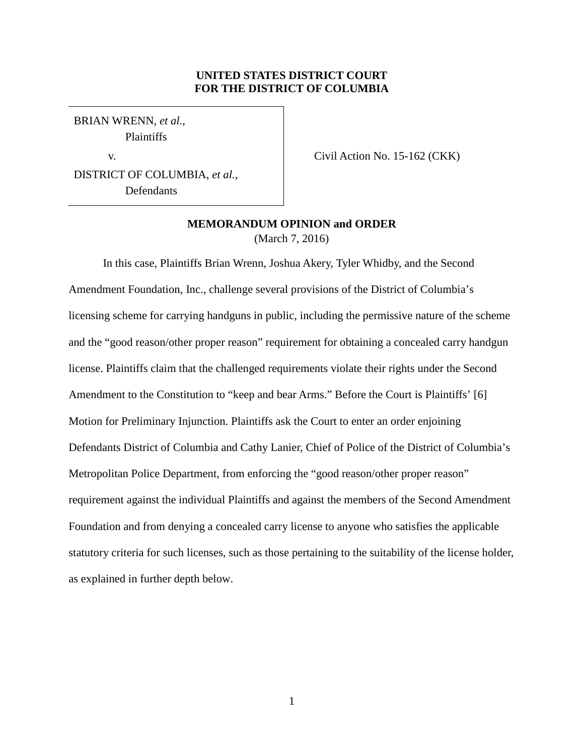# **UNITED STATES DISTRICT COURT FOR THE DISTRICT OF COLUMBIA**

BRIAN WRENN, *et al.*, Plaintiffs

v.

Civil Action No. 15-162 (CKK)

DISTRICT OF COLUMBIA, *et al.*, Defendants

# **MEMORANDUM OPINION and ORDER** (March 7, 2016)

In this case, Plaintiffs Brian Wrenn, Joshua Akery, Tyler Whidby, and the Second Amendment Foundation, Inc., challenge several provisions of the District of Columbia's licensing scheme for carrying handguns in public, including the permissive nature of the scheme and the "good reason/other proper reason" requirement for obtaining a concealed carry handgun license. Plaintiffs claim that the challenged requirements violate their rights under the Second Amendment to the Constitution to "keep and bear Arms." Before the Court is Plaintiffs' [6] Motion for Preliminary Injunction. Plaintiffs ask the Court to enter an order enjoining Defendants District of Columbia and Cathy Lanier, Chief of Police of the District of Columbia's Metropolitan Police Department, from enforcing the "good reason/other proper reason" requirement against the individual Plaintiffs and against the members of the Second Amendment Foundation and from denying a concealed carry license to anyone who satisfies the applicable statutory criteria for such licenses, such as those pertaining to the suitability of the license holder, as explained in further depth below.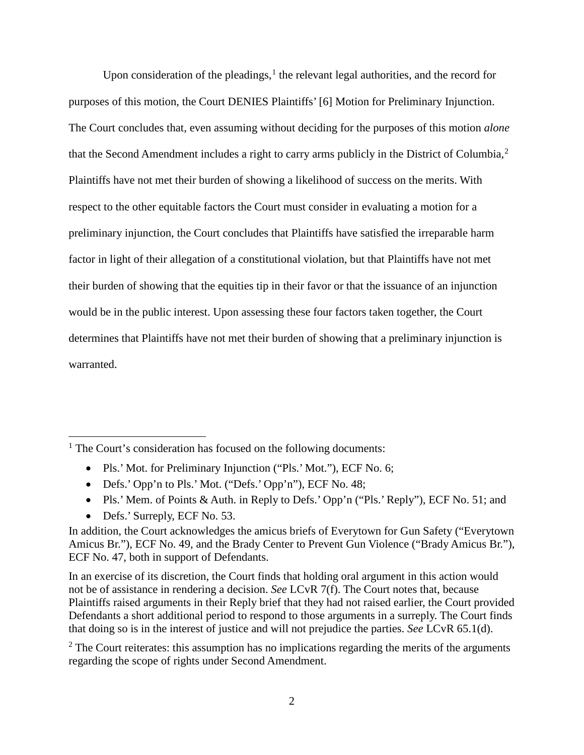Upon consideration of the pleadings, $<sup>1</sup>$  the relevant legal authorities, and the record for</sup> purposes of this motion, the Court DENIES Plaintiffs' [6] Motion for Preliminary Injunction. The Court concludes that, even assuming without deciding for the purposes of this motion *alone* that the Second Amendment includes a right to carry arms publicly in the District of Columbia,<sup>2</sup> Plaintiffs have not met their burden of showing a likelihood of success on the merits. With respect to the other equitable factors the Court must consider in evaluating a motion for a preliminary injunction, the Court concludes that Plaintiffs have satisfied the irreparable harm factor in light of their allegation of a constitutional violation, but that Plaintiffs have not met their burden of showing that the equities tip in their favor or that the issuance of an injunction would be in the public interest. Upon assessing these four factors taken together, the Court determines that Plaintiffs have not met their burden of showing that a preliminary injunction is warranted.

- Pls.' Mot. for Preliminary Injunction ("Pls.' Mot."), ECF No. 6;
- Defs.' Opp'n to Pls.' Mot. ("Defs.' Opp'n"), ECF No. 48;
- Pls.' Mem. of Points & Auth. in Reply to Defs.' Opp'n ("Pls.' Reply"), ECF No. 51; and
- Defs.' Surreply, ECF No. 53.

 $\overline{a}$ 

In an exercise of its discretion, the Court finds that holding oral argument in this action would not be of assistance in rendering a decision. *See* LCvR 7(f). The Court notes that, because Plaintiffs raised arguments in their Reply brief that they had not raised earlier, the Court provided Defendants a short additional period to respond to those arguments in a surreply. The Court finds that doing so is in the interest of justice and will not prejudice the parties. *See* LCvR 65.1(d).

 $2$  The Court reiterates: this assumption has no implications regarding the merits of the arguments regarding the scope of rights under Second Amendment.

<sup>&</sup>lt;sup>1</sup> The Court's consideration has focused on the following documents:

In addition, the Court acknowledges the amicus briefs of Everytown for Gun Safety ("Everytown Amicus Br."), ECF No. 49, and the Brady Center to Prevent Gun Violence ("Brady Amicus Br."), ECF No. 47, both in support of Defendants.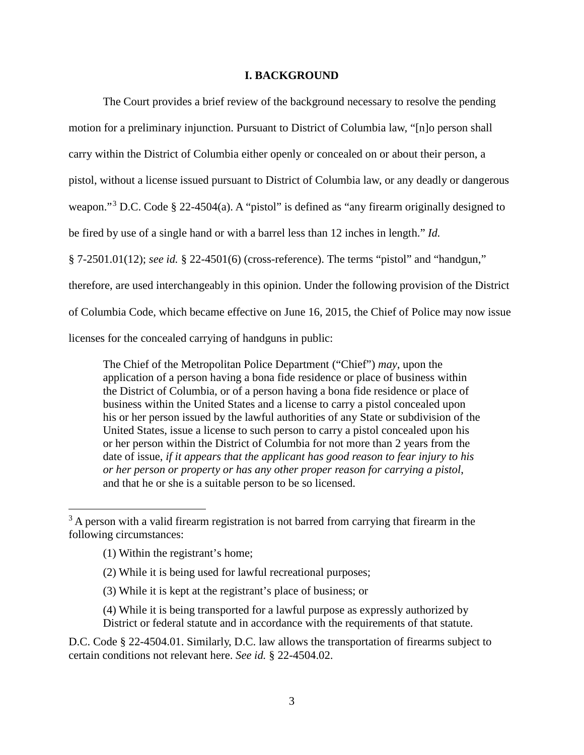## **I. BACKGROUND**

The Court provides a brief review of the background necessary to resolve the pending motion for a preliminary injunction. Pursuant to District of Columbia law, "[n]o person shall carry within the District of Columbia either openly or concealed on or about their person, a pistol, without a license issued pursuant to District of Columbia law, or any deadly or dangerous weapon."<sup>3</sup> D.C. Code § 22-4504(a). A "pistol" is defined as "any firearm originally designed to be fired by use of a single hand or with a barrel less than 12 inches in length." *Id.* § 7-2501.01(12); *see id.* § 22-4501(6) (cross-reference). The terms "pistol" and "handgun," therefore, are used interchangeably in this opinion. Under the following provision of the District of Columbia Code, which became effective on June 16, 2015, the Chief of Police may now issue licenses for the concealed carrying of handguns in public:

The Chief of the Metropolitan Police Department ("Chief") *may*, upon the application of a person having a bona fide residence or place of business within the District of Columbia, or of a person having a bona fide residence or place of business within the United States and a license to carry a pistol concealed upon his or her person issued by the lawful authorities of any State or subdivision of the United States, issue a license to such person to carry a pistol concealed upon his or her person within the District of Columbia for not more than 2 years from the date of issue, *if it appears that the applicant has good reason to fear injury to his or her person or property or has any other proper reason for carrying a pistol*, and that he or she is a suitable person to be so licensed.

 $\overline{a}$ 

D.C. Code § 22-4504.01. Similarly, D.C. law allows the transportation of firearms subject to certain conditions not relevant here. *See id.* § 22-4504.02.

 $3$  A person with a valid firearm registration is not barred from carrying that firearm in the following circumstances:

<sup>(1)</sup> Within the registrant's home;

<sup>(2)</sup> While it is being used for lawful recreational purposes;

<sup>(3)</sup> While it is kept at the registrant's place of business; or

<sup>(4)</sup> While it is being transported for a lawful purpose as expressly authorized by District or federal statute and in accordance with the requirements of that statute.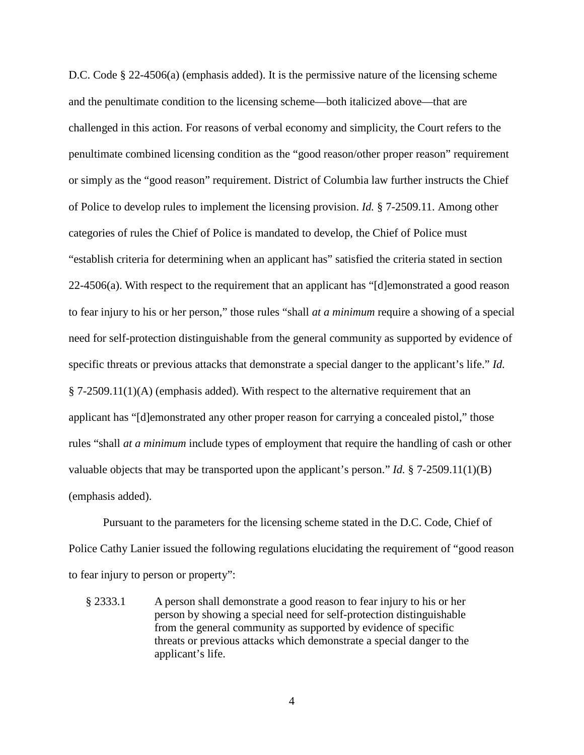D.C. Code § 22-4506(a) (emphasis added). It is the permissive nature of the licensing scheme and the penultimate condition to the licensing scheme—both italicized above—that are challenged in this action. For reasons of verbal economy and simplicity, the Court refers to the penultimate combined licensing condition as the "good reason/other proper reason" requirement or simply as the "good reason" requirement. District of Columbia law further instructs the Chief of Police to develop rules to implement the licensing provision. *Id.* § 7-2509.11. Among other categories of rules the Chief of Police is mandated to develop, the Chief of Police must "establish criteria for determining when an applicant has" satisfied the criteria stated in section 22-4506(a). With respect to the requirement that an applicant has "[d]emonstrated a good reason to fear injury to his or her person," those rules "shall *at a minimum* require a showing of a special need for self-protection distinguishable from the general community as supported by evidence of specific threats or previous attacks that demonstrate a special danger to the applicant's life." *Id.* § 7-2509.11(1)(A) (emphasis added). With respect to the alternative requirement that an applicant has "[d]emonstrated any other proper reason for carrying a concealed pistol," those rules "shall *at a minimum* include types of employment that require the handling of cash or other valuable objects that may be transported upon the applicant's person." *Id.* § 7-2509.11(1)(B) (emphasis added).

Pursuant to the parameters for the licensing scheme stated in the D.C. Code, Chief of Police Cathy Lanier issued the following regulations elucidating the requirement of "good reason to fear injury to person or property":

§ 2333.1 A person shall demonstrate a good reason to fear injury to his or her person by showing a special need for self-protection distinguishable from the general community as supported by evidence of specific threats or previous attacks which demonstrate a special danger to the applicant's life.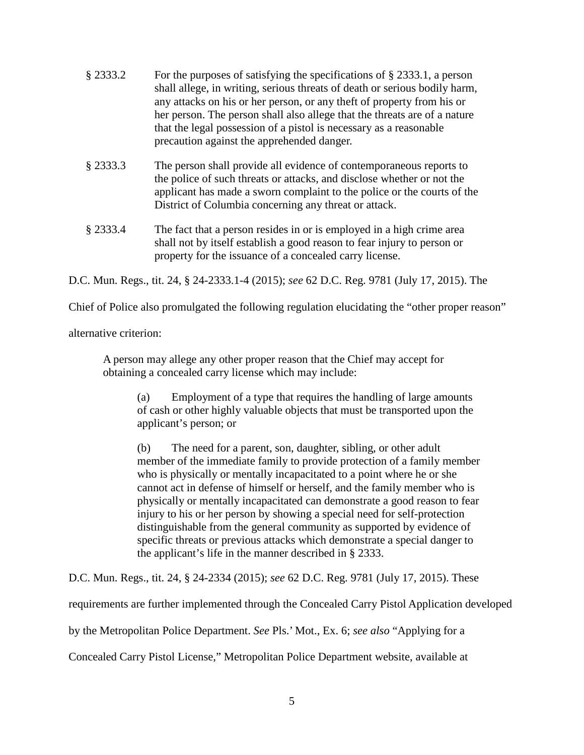- § 2333.2 For the purposes of satisfying the specifications of § 2333.1, a person shall allege, in writing, serious threats of death or serious bodily harm, any attacks on his or her person, or any theft of property from his or her person. The person shall also allege that the threats are of a nature that the legal possession of a pistol is necessary as a reasonable precaution against the apprehended danger.
- § 2333.3 The person shall provide all evidence of contemporaneous reports to the police of such threats or attacks, and disclose whether or not the applicant has made a sworn complaint to the police or the courts of the District of Columbia concerning any threat or attack.
- § 2333.4 The fact that a person resides in or is employed in a high crime area shall not by itself establish a good reason to fear injury to person or property for the issuance of a concealed carry license.

D.C. Mun. Regs., tit. 24, § 24-2333.1-4 (2015); *see* 62 D.C. Reg. 9781 (July 17, 2015). The

Chief of Police also promulgated the following regulation elucidating the "other proper reason"

alternative criterion:

A person may allege any other proper reason that the Chief may accept for obtaining a concealed carry license which may include:

(a) Employment of a type that requires the handling of large amounts of cash or other highly valuable objects that must be transported upon the applicant's person; or

(b) The need for a parent, son, daughter, sibling, or other adult member of the immediate family to provide protection of a family member who is physically or mentally incapacitated to a point where he or she cannot act in defense of himself or herself, and the family member who is physically or mentally incapacitated can demonstrate a good reason to fear injury to his or her person by showing a special need for self-protection distinguishable from the general community as supported by evidence of specific threats or previous attacks which demonstrate a special danger to the applicant's life in the manner described in § 2333.

D.C. Mun. Regs., tit. 24, § 24-2334 (2015); *see* 62 D.C. Reg. 9781 (July 17, 2015). These

requirements are further implemented through the Concealed Carry Pistol Application developed

by the Metropolitan Police Department. *See* Pls.' Mot., Ex. 6; *see also* "Applying for a

Concealed Carry Pistol License," Metropolitan Police Department website, available at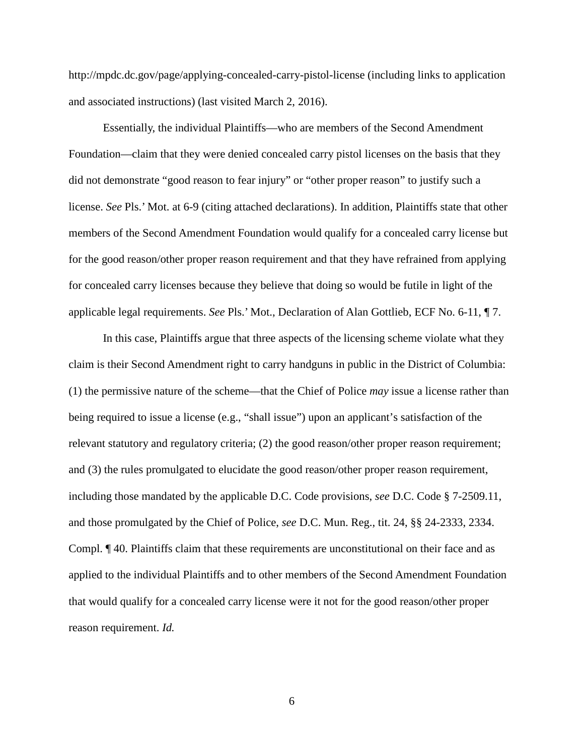http://mpdc.dc.gov/page/applying-concealed-carry-pistol-license (including links to application and associated instructions) (last visited March 2, 2016).

Essentially, the individual Plaintiffs—who are members of the Second Amendment Foundation—claim that they were denied concealed carry pistol licenses on the basis that they did not demonstrate "good reason to fear injury" or "other proper reason" to justify such a license. *See* Pls.' Mot. at 6-9 (citing attached declarations). In addition, Plaintiffs state that other members of the Second Amendment Foundation would qualify for a concealed carry license but for the good reason/other proper reason requirement and that they have refrained from applying for concealed carry licenses because they believe that doing so would be futile in light of the applicable legal requirements. *See* Pls.' Mot., Declaration of Alan Gottlieb, ECF No. 6-11, ¶ 7.

In this case, Plaintiffs argue that three aspects of the licensing scheme violate what they claim is their Second Amendment right to carry handguns in public in the District of Columbia: (1) the permissive nature of the scheme—that the Chief of Police *may* issue a license rather than being required to issue a license (e.g., "shall issue") upon an applicant's satisfaction of the relevant statutory and regulatory criteria; (2) the good reason/other proper reason requirement; and (3) the rules promulgated to elucidate the good reason/other proper reason requirement, including those mandated by the applicable D.C. Code provisions, *see* D.C. Code § 7-2509.11, and those promulgated by the Chief of Police, *see* D.C. Mun. Reg., tit. 24, §§ 24-2333, 2334. Compl. ¶ 40. Plaintiffs claim that these requirements are unconstitutional on their face and as applied to the individual Plaintiffs and to other members of the Second Amendment Foundation that would qualify for a concealed carry license were it not for the good reason/other proper reason requirement. *Id.*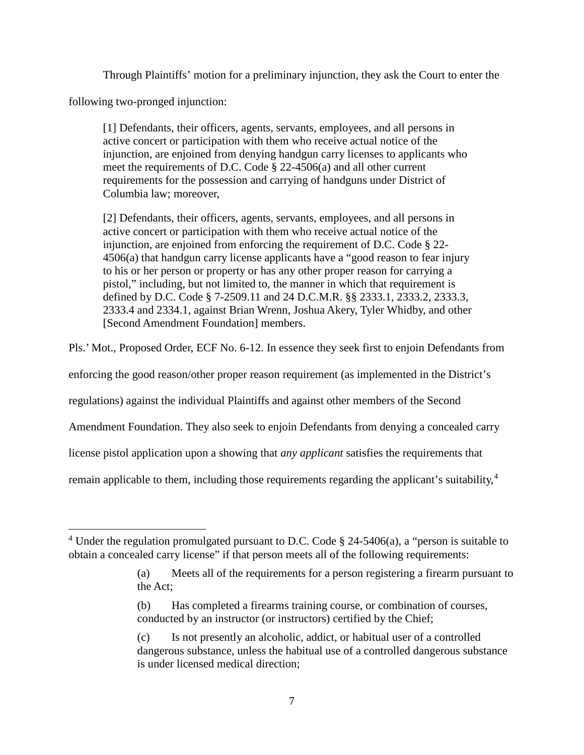Through Plaintiffs' motion for a preliminary injunction, they ask the Court to enter the

following two-pronged injunction:

 $\overline{a}$ 

[1] Defendants, their officers, agents, servants, employees, and all persons in active concert or participation with them who receive actual notice of the injunction, are enjoined from denying handgun carry licenses to applicants who meet the requirements of D.C. Code § 22-4506(a) and all other current requirements for the possession and carrying of handguns under District of Columbia law; moreover,

[2] Defendants, their officers, agents, servants, employees, and all persons in active concert or participation with them who receive actual notice of the injunction, are enjoined from enforcing the requirement of D.C. Code § 22- 4506(a) that handgun carry license applicants have a "good reason to fear injury to his or her person or property or has any other proper reason for carrying a pistol," including, but not limited to, the manner in which that requirement is defined by D.C. Code § 7-2509.11 and 24 D.C.M.R. §§ 2333.1, 2333.2, 2333.3, 2333.4 and 2334.1, against Brian Wrenn, Joshua Akery, Tyler Whidby, and other [Second Amendment Foundation] members.

Pls.' Mot., Proposed Order, ECF No. 6-12. In essence they seek first to enjoin Defendants from

enforcing the good reason/other proper reason requirement (as implemented in the District's

regulations) against the individual Plaintiffs and against other members of the Second

Amendment Foundation. They also seek to enjoin Defendants from denying a concealed carry

license pistol application upon a showing that *any applicant* satisfies the requirements that

remain applicable to them, including those requirements regarding the applicant's suitability,<sup>4</sup>

<sup>&</sup>lt;sup>4</sup> Under the regulation promulgated pursuant to D.C. Code  $\S$  24-5406(a), a "person is suitable to obtain a concealed carry license" if that person meets all of the following requirements:

<sup>(</sup>a) Meets all of the requirements for a person registering a firearm pursuant to the Act;

<sup>(</sup>b) Has completed a firearms training course, or combination of courses, conducted by an instructor (or instructors) certified by the Chief;

<sup>(</sup>c) Is not presently an alcoholic, addict, or habitual user of a controlled dangerous substance, unless the habitual use of a controlled dangerous substance is under licensed medical direction;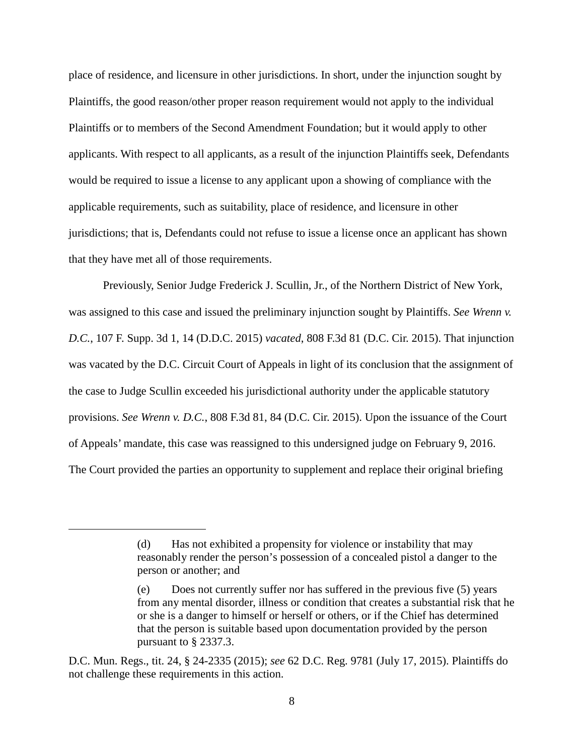place of residence, and licensure in other jurisdictions. In short, under the injunction sought by Plaintiffs, the good reason/other proper reason requirement would not apply to the individual Plaintiffs or to members of the Second Amendment Foundation; but it would apply to other applicants. With respect to all applicants, as a result of the injunction Plaintiffs seek, Defendants would be required to issue a license to any applicant upon a showing of compliance with the applicable requirements, such as suitability, place of residence, and licensure in other jurisdictions; that is, Defendants could not refuse to issue a license once an applicant has shown that they have met all of those requirements.

Previously, Senior Judge Frederick J. Scullin, Jr., of the Northern District of New York, was assigned to this case and issued the preliminary injunction sought by Plaintiffs. *See Wrenn v. D.C.*, 107 F. Supp. 3d 1, 14 (D.D.C. 2015) *vacated*, 808 F.3d 81 (D.C. Cir. 2015). That injunction was vacated by the D.C. Circuit Court of Appeals in light of its conclusion that the assignment of the case to Judge Scullin exceeded his jurisdictional authority under the applicable statutory provisions. *See Wrenn v. D.C.*, 808 F.3d 81, 84 (D.C. Cir. 2015). Upon the issuance of the Court of Appeals' mandate, this case was reassigned to this undersigned judge on February 9, 2016. The Court provided the parties an opportunity to supplement and replace their original briefing

<sup>(</sup>d) Has not exhibited a propensity for violence or instability that may reasonably render the person's possession of a concealed pistol a danger to the person or another; and

<sup>(</sup>e) Does not currently suffer nor has suffered in the previous five (5) years from any mental disorder, illness or condition that creates a substantial risk that he or she is a danger to himself or herself or others, or if the Chief has determined that the person is suitable based upon documentation provided by the person pursuant to § 2337.3.

D.C. Mun. Regs., tit. 24, § 24-2335 (2015); *see* 62 D.C. Reg. 9781 (July 17, 2015). Plaintiffs do not challenge these requirements in this action.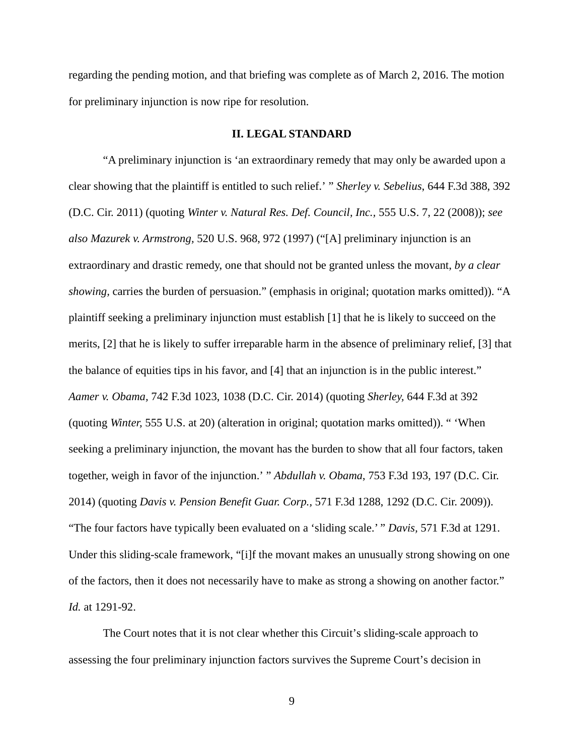regarding the pending motion, and that briefing was complete as of March 2, 2016. The motion for preliminary injunction is now ripe for resolution.

#### **II. LEGAL STANDARD**

"A preliminary injunction is 'an extraordinary remedy that may only be awarded upon a clear showing that the plaintiff is entitled to such relief.' " *Sherley v. Sebelius*, 644 F.3d 388, 392 (D.C. Cir. 2011) (quoting *Winter v. Natural Res. Def. Council, Inc.,* 555 U.S. 7, 22 (2008)); *see also Mazurek v. Armstrong,* 520 U.S. 968, 972 (1997) ("[A] preliminary injunction is an extraordinary and drastic remedy, one that should not be granted unless the movant, *by a clear showing,* carries the burden of persuasion." (emphasis in original; quotation marks omitted)). "A plaintiff seeking a preliminary injunction must establish [1] that he is likely to succeed on the merits, [2] that he is likely to suffer irreparable harm in the absence of preliminary relief, [3] that the balance of equities tips in his favor, and [4] that an injunction is in the public interest." *Aamer v. Obama,* 742 F.3d 1023, 1038 (D.C. Cir. 2014) (quoting *Sherley,* 644 F.3d at 392 (quoting *Winter,* 555 U.S. at 20) (alteration in original; quotation marks omitted)). " 'When seeking a preliminary injunction, the movant has the burden to show that all four factors, taken together, weigh in favor of the injunction.' " *Abdullah v. Obama*, 753 F.3d 193, 197 (D.C. Cir. 2014) (quoting *Davis v. Pension Benefit Guar. Corp.,* 571 F.3d 1288, 1292 (D.C. Cir. 2009)). "The four factors have typically been evaluated on a 'sliding scale.' " *Davis,* 571 F.3d at 1291. Under this sliding-scale framework, "[i]f the movant makes an unusually strong showing on one of the factors, then it does not necessarily have to make as strong a showing on another factor." *Id.* at 1291-92.

The Court notes that it is not clear whether this Circuit's sliding-scale approach to assessing the four preliminary injunction factors survives the Supreme Court's decision in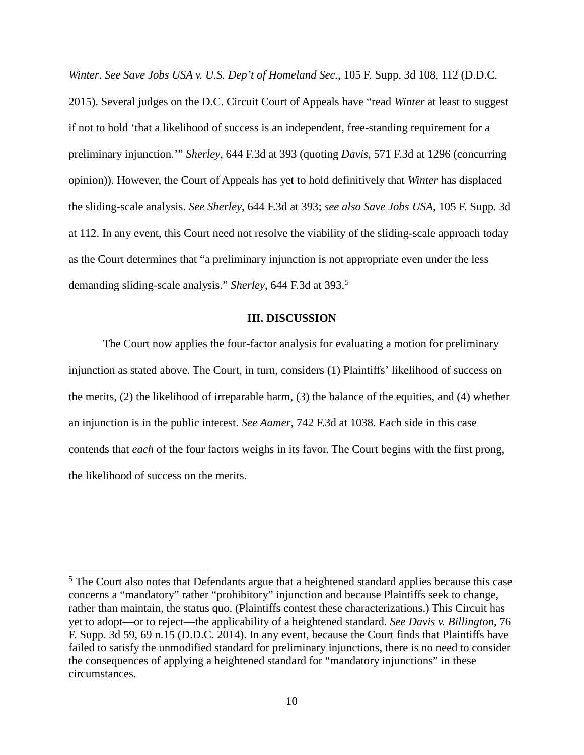*Winter*. *See Save Jobs USA v. U.S. Dep't of Homeland Sec.*, 105 F. Supp. 3d 108, 112 (D.D.C. 2015). Several judges on the D.C. Circuit Court of Appeals have "read *Winter* at least to suggest if not to hold 'that a likelihood of success is an independent, free-standing requirement for a preliminary injunction.'" *Sherley*, 644 F.3d at 393 (quoting *Davis*, 571 F.3d at 1296 (concurring opinion)). However, the Court of Appeals has yet to hold definitively that *Winter* has displaced the sliding-scale analysis. *See Sherley*, 644 F.3d at 393; *see also Save Jobs USA*, 105 F. Supp. 3d at 112. In any event, this Court need not resolve the viability of the sliding-scale approach today as the Court determines that "a preliminary injunction is not appropriate even under the less demanding sliding-scale analysis." *Sherley*, 644 F.3d at 393.<sup>5</sup>

#### **III. DISCUSSION**

The Court now applies the four-factor analysis for evaluating a motion for preliminary injunction as stated above. The Court, in turn, considers (1) Plaintiffs' likelihood of success on the merits, (2) the likelihood of irreparable harm, (3) the balance of the equities, and (4) whether an injunction is in the public interest. *See Aamer*, 742 F.3d at 1038. Each side in this case contends that *each* of the four factors weighs in its favor. The Court begins with the first prong, the likelihood of success on the merits.

<sup>&</sup>lt;sup>5</sup> The Court also notes that Defendants argue that a heightened standard applies because this case concerns a "mandatory" rather "prohibitory" injunction and because Plaintiffs seek to change, rather than maintain, the status quo. (Plaintiffs contest these characterizations.) This Circuit has yet to adopt—or to reject—the applicability of a heightened standard. *See Davis v. Billington*, 76 F. Supp. 3d 59, 69 n.15 (D.D.C. 2014). In any event, because the Court finds that Plaintiffs have failed to satisfy the unmodified standard for preliminary injunctions, there is no need to consider the consequences of applying a heightened standard for "mandatory injunctions" in these circumstances.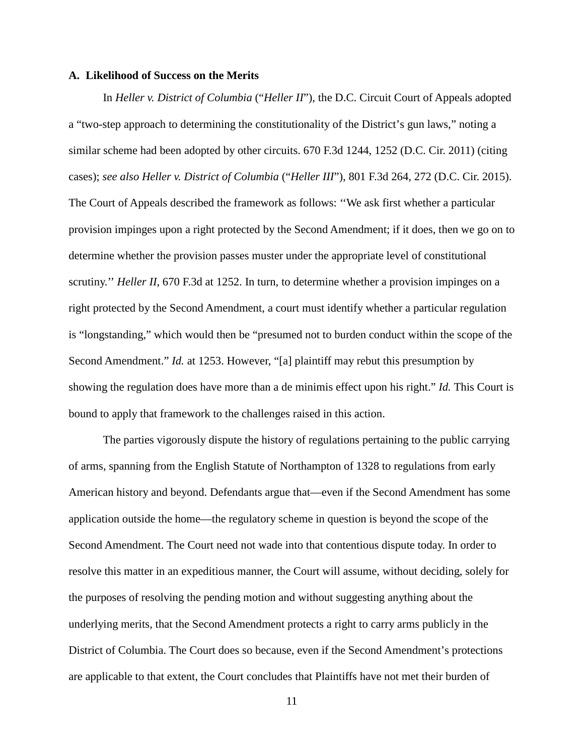#### **A. Likelihood of Success on the Merits**

In *Heller v. District of Columbia* ("*Heller II*"), the D.C. Circuit Court of Appeals adopted a "two-step approach to determining the constitutionality of the District's gun laws," noting a similar scheme had been adopted by other circuits. 670 F.3d 1244, 1252 (D.C. Cir. 2011) (citing cases); *see also Heller v. District of Columbia* ("*Heller III*"), 801 F.3d 264, 272 (D.C. Cir. 2015). The Court of Appeals described the framework as follows: ''We ask first whether a particular provision impinges upon a right protected by the Second Amendment; if it does, then we go on to determine whether the provision passes muster under the appropriate level of constitutional scrutiny." *Heller II*, 670 F.3d at 1252. In turn, to determine whether a provision impinges on a right protected by the Second Amendment, a court must identify whether a particular regulation is "longstanding," which would then be "presumed not to burden conduct within the scope of the Second Amendment." *Id.* at 1253. However, "[a] plaintiff may rebut this presumption by showing the regulation does have more than a de minimis effect upon his right." *Id.* This Court is bound to apply that framework to the challenges raised in this action.

The parties vigorously dispute the history of regulations pertaining to the public carrying of arms, spanning from the English Statute of Northampton of 1328 to regulations from early American history and beyond. Defendants argue that—even if the Second Amendment has some application outside the home—the regulatory scheme in question is beyond the scope of the Second Amendment. The Court need not wade into that contentious dispute today. In order to resolve this matter in an expeditious manner, the Court will assume, without deciding, solely for the purposes of resolving the pending motion and without suggesting anything about the underlying merits, that the Second Amendment protects a right to carry arms publicly in the District of Columbia. The Court does so because, even if the Second Amendment's protections are applicable to that extent, the Court concludes that Plaintiffs have not met their burden of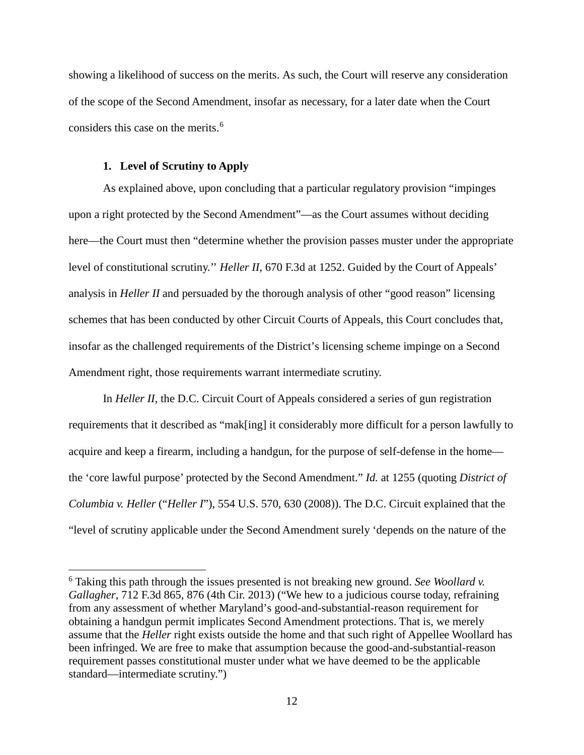showing a likelihood of success on the merits. As such, the Court will reserve any consideration of the scope of the Second Amendment, insofar as necessary, for a later date when the Court considers this case on the merits.<sup>6</sup>

## **1. Level of Scrutiny to Apply**

 $\overline{a}$ 

As explained above, upon concluding that a particular regulatory provision "impinges upon a right protected by the Second Amendment"—as the Court assumes without deciding here—the Court must then "determine whether the provision passes muster under the appropriate level of constitutional scrutiny.'' *Heller II*, 670 F.3d at 1252. Guided by the Court of Appeals' analysis in *Heller II* and persuaded by the thorough analysis of other "good reason" licensing schemes that has been conducted by other Circuit Courts of Appeals, this Court concludes that, insofar as the challenged requirements of the District's licensing scheme impinge on a Second Amendment right, those requirements warrant intermediate scrutiny.

In *Heller II*, the D.C. Circuit Court of Appeals considered a series of gun registration requirements that it described as "mak[ing] it considerably more difficult for a person lawfully to acquire and keep a firearm, including a handgun, for the purpose of self-defense in the home the 'core lawful purpose' protected by the Second Amendment." *Id.* at 1255 (quoting *District of Columbia v. Heller* ("*Heller I*"), 554 U.S. 570, 630 (2008)). The D.C. Circuit explained that the "level of scrutiny applicable under the Second Amendment surely 'depends on the nature of the

<sup>6</sup> Taking this path through the issues presented is not breaking new ground. *See Woollard v. Gallagher*, 712 F.3d 865, 876 (4th Cir. 2013) ("We hew to a judicious course today, refraining from any assessment of whether Maryland's good-and-substantial-reason requirement for obtaining a handgun permit implicates Second Amendment protections. That is, we merely assume that the *Heller* right exists outside the home and that such right of Appellee Woollard has been infringed. We are free to make that assumption because the good-and-substantial-reason requirement passes constitutional muster under what we have deemed to be the applicable standard—intermediate scrutiny.")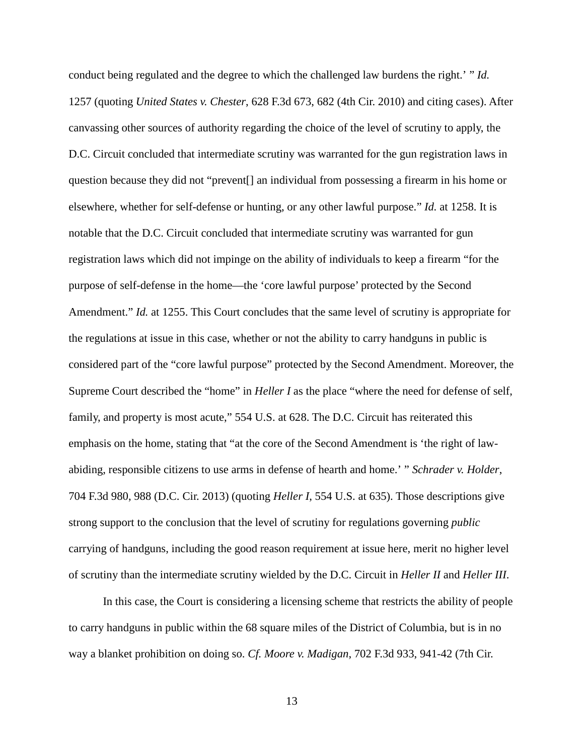conduct being regulated and the degree to which the challenged law burdens the right.' " *Id.* 1257 (quoting *United States v. Chester*, 628 F.3d 673, 682 (4th Cir. 2010) and citing cases). After canvassing other sources of authority regarding the choice of the level of scrutiny to apply, the D.C. Circuit concluded that intermediate scrutiny was warranted for the gun registration laws in question because they did not "prevent[] an individual from possessing a firearm in his home or elsewhere, whether for self-defense or hunting, or any other lawful purpose." *Id.* at 1258. It is notable that the D.C. Circuit concluded that intermediate scrutiny was warranted for gun registration laws which did not impinge on the ability of individuals to keep a firearm "for the purpose of self-defense in the home—the 'core lawful purpose' protected by the Second Amendment." *Id.* at 1255. This Court concludes that the same level of scrutiny is appropriate for the regulations at issue in this case, whether or not the ability to carry handguns in public is considered part of the "core lawful purpose" protected by the Second Amendment. Moreover, the Supreme Court described the "home" in *Heller I* as the place "where the need for defense of self, family, and property is most acute," 554 U.S. at 628. The D.C. Circuit has reiterated this emphasis on the home, stating that "at the core of the Second Amendment is 'the right of lawabiding, responsible citizens to use arms in defense of hearth and home.' " *Schrader v. Holder*, 704 F.3d 980, 988 (D.C. Cir. 2013) (quoting *Heller I*, 554 U.S. at 635). Those descriptions give strong support to the conclusion that the level of scrutiny for regulations governing *public* carrying of handguns, including the good reason requirement at issue here, merit no higher level of scrutiny than the intermediate scrutiny wielded by the D.C. Circuit in *Heller II* and *Heller III*.

In this case, the Court is considering a licensing scheme that restricts the ability of people to carry handguns in public within the 68 square miles of the District of Columbia, but is in no way a blanket prohibition on doing so. *Cf. Moore v. Madigan*, 702 F.3d 933, 941-42 (7th Cir.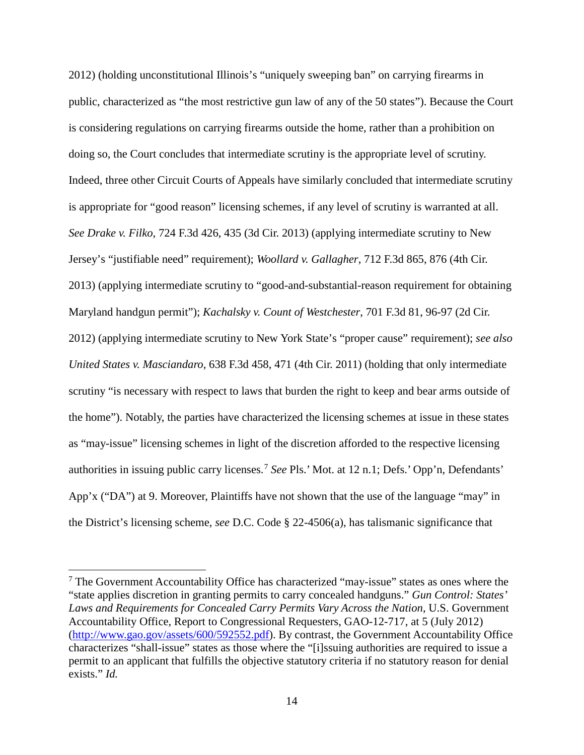2012) (holding unconstitutional Illinois's "uniquely sweeping ban" on carrying firearms in public, characterized as "the most restrictive gun law of any of the 50 states"). Because the Court is considering regulations on carrying firearms outside the home, rather than a prohibition on doing so, the Court concludes that intermediate scrutiny is the appropriate level of scrutiny. Indeed, three other Circuit Courts of Appeals have similarly concluded that intermediate scrutiny is appropriate for "good reason" licensing schemes, if any level of scrutiny is warranted at all. *See Drake v. Filko*, 724 F.3d 426, 435 (3d Cir. 2013) (applying intermediate scrutiny to New Jersey's "justifiable need" requirement); *Woollard v. Gallagher*, 712 F.3d 865, 876 (4th Cir. 2013) (applying intermediate scrutiny to "good-and-substantial-reason requirement for obtaining Maryland handgun permit"); *Kachalsky v. Count of Westchester*, 701 F.3d 81, 96-97 (2d Cir. 2012) (applying intermediate scrutiny to New York State's "proper cause" requirement); *see also United States v. Masciandaro*, 638 F.3d 458, 471 (4th Cir. 2011) (holding that only intermediate scrutiny "is necessary with respect to laws that burden the right to keep and bear arms outside of the home"). Notably, the parties have characterized the licensing schemes at issue in these states as "may-issue" licensing schemes in light of the discretion afforded to the respective licensing authorities in issuing public carry licenses.<sup>7</sup> *See* Pls.' Mot. at 12 n.1; Defs.' Opp'n, Defendants' App'x ("DA") at 9. Moreover, Plaintiffs have not shown that the use of the language "may" in the District's licensing scheme, *see* D.C. Code § 22-4506(a), has talismanic significance that

 $<sup>7</sup>$  The Government Accountability Office has characterized "may-issue" states as ones where the</sup> "state applies discretion in granting permits to carry concealed handguns." *Gun Control: States' Laws and Requirements for Concealed Carry Permits Vary Across the Nation*, U.S. Government Accountability Office, Report to Congressional Requesters, GAO-12-717, at 5 (July 2012) (http://www.gao.gov/assets/600/592552.pdf). By contrast, the Government Accountability Office characterizes "shall-issue" states as those where the "[i]ssuing authorities are required to issue a permit to an applicant that fulfills the objective statutory criteria if no statutory reason for denial exists." *Id.*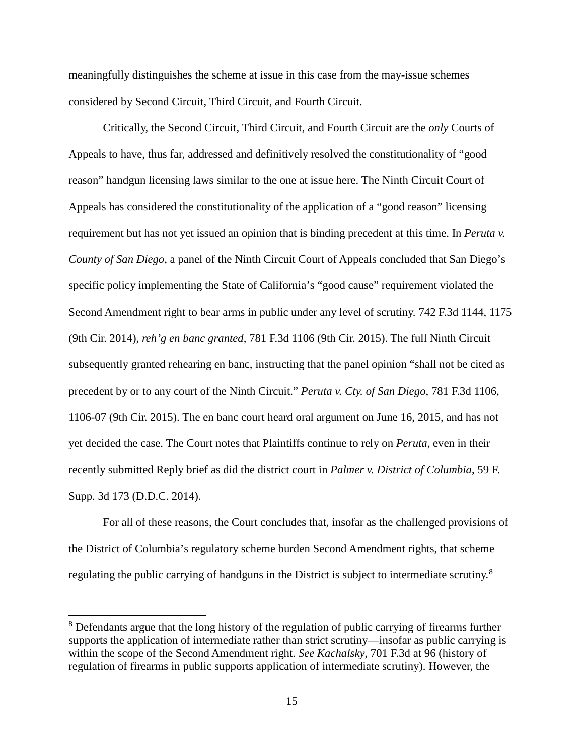meaningfully distinguishes the scheme at issue in this case from the may-issue schemes considered by Second Circuit, Third Circuit, and Fourth Circuit.

Critically, the Second Circuit, Third Circuit, and Fourth Circuit are the *only* Courts of Appeals to have, thus far, addressed and definitively resolved the constitutionality of "good reason" handgun licensing laws similar to the one at issue here. The Ninth Circuit Court of Appeals has considered the constitutionality of the application of a "good reason" licensing requirement but has not yet issued an opinion that is binding precedent at this time. In *Peruta v. County of San Diego*, a panel of the Ninth Circuit Court of Appeals concluded that San Diego's specific policy implementing the State of California's "good cause" requirement violated the Second Amendment right to bear arms in public under any level of scrutiny. 742 F.3d 1144, 1175 (9th Cir. 2014), *reh'g en banc granted*, 781 F.3d 1106 (9th Cir. 2015). The full Ninth Circuit subsequently granted rehearing en banc, instructing that the panel opinion "shall not be cited as precedent by or to any court of the Ninth Circuit." *Peruta v. Cty. of San Diego*, 781 F.3d 1106, 1106-07 (9th Cir. 2015). The en banc court heard oral argument on June 16, 2015, and has not yet decided the case. The Court notes that Plaintiffs continue to rely on *Peruta*, even in their recently submitted Reply brief as did the district court in *Palmer v. District of Columbia*, 59 F. Supp. 3d 173 (D.D.C. 2014).

For all of these reasons, the Court concludes that, insofar as the challenged provisions of the District of Columbia's regulatory scheme burden Second Amendment rights, that scheme regulating the public carrying of handguns in the District is subject to intermediate scrutiny.<sup>8</sup>

<sup>&</sup>lt;sup>8</sup> Defendants argue that the long history of the regulation of public carrying of firearms further supports the application of intermediate rather than strict scrutiny—insofar as public carrying is within the scope of the Second Amendment right. *See Kachalsky*, 701 F.3d at 96 (history of regulation of firearms in public supports application of intermediate scrutiny). However, the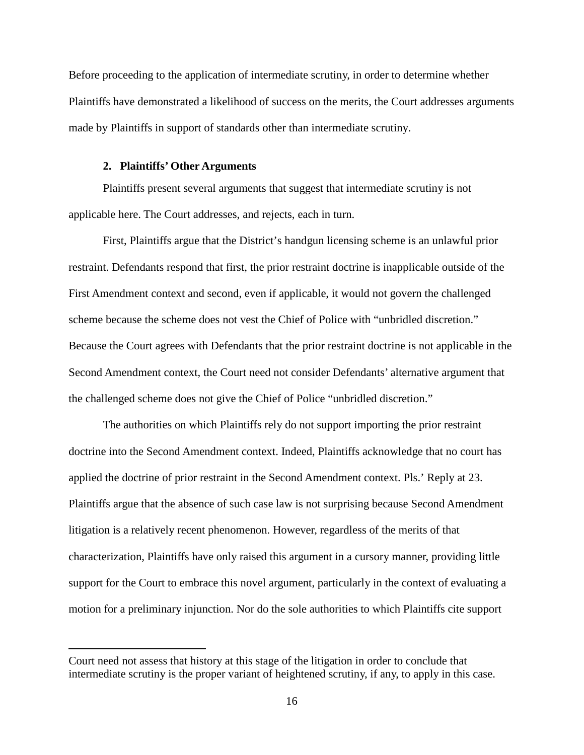Before proceeding to the application of intermediate scrutiny, in order to determine whether Plaintiffs have demonstrated a likelihood of success on the merits, the Court addresses arguments made by Plaintiffs in support of standards other than intermediate scrutiny.

#### **2. Plaintiffs' Other Arguments**

 $\overline{a}$ 

Plaintiffs present several arguments that suggest that intermediate scrutiny is not applicable here. The Court addresses, and rejects, each in turn.

First, Plaintiffs argue that the District's handgun licensing scheme is an unlawful prior restraint. Defendants respond that first, the prior restraint doctrine is inapplicable outside of the First Amendment context and second, even if applicable, it would not govern the challenged scheme because the scheme does not vest the Chief of Police with "unbridled discretion." Because the Court agrees with Defendants that the prior restraint doctrine is not applicable in the Second Amendment context, the Court need not consider Defendants' alternative argument that the challenged scheme does not give the Chief of Police "unbridled discretion."

The authorities on which Plaintiffs rely do not support importing the prior restraint doctrine into the Second Amendment context. Indeed, Plaintiffs acknowledge that no court has applied the doctrine of prior restraint in the Second Amendment context. Pls.' Reply at 23. Plaintiffs argue that the absence of such case law is not surprising because Second Amendment litigation is a relatively recent phenomenon. However, regardless of the merits of that characterization, Plaintiffs have only raised this argument in a cursory manner, providing little support for the Court to embrace this novel argument, particularly in the context of evaluating a motion for a preliminary injunction. Nor do the sole authorities to which Plaintiffs cite support

Court need not assess that history at this stage of the litigation in order to conclude that intermediate scrutiny is the proper variant of heightened scrutiny, if any, to apply in this case.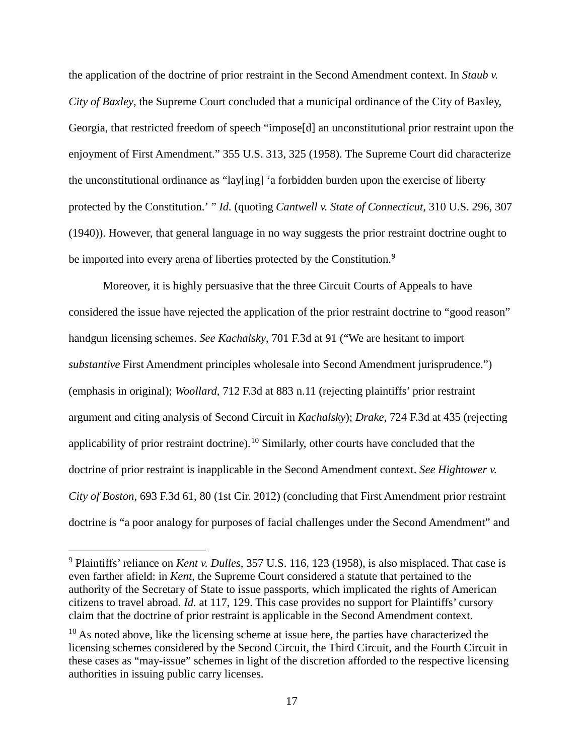the application of the doctrine of prior restraint in the Second Amendment context. In *Staub v. City of Baxley*, the Supreme Court concluded that a municipal ordinance of the City of Baxley, Georgia, that restricted freedom of speech "impose[d] an unconstitutional prior restraint upon the enjoyment of First Amendment." 355 U.S. 313, 325 (1958). The Supreme Court did characterize the unconstitutional ordinance as "lay[ing] 'a forbidden burden upon the exercise of liberty protected by the Constitution.' " *Id.* (quoting *Cantwell v. State of Connecticut*, 310 U.S. 296, 307 (1940)). However, that general language in no way suggests the prior restraint doctrine ought to be imported into every arena of liberties protected by the Constitution.<sup>9</sup>

Moreover, it is highly persuasive that the three Circuit Courts of Appeals to have considered the issue have rejected the application of the prior restraint doctrine to "good reason" handgun licensing schemes. *See Kachalsky*, 701 F.3d at 91 ("We are hesitant to import *substantive* First Amendment principles wholesale into Second Amendment jurisprudence.") (emphasis in original); *Woollard*, 712 F.3d at 883 n.11 (rejecting plaintiffs' prior restraint argument and citing analysis of Second Circuit in *Kachalsky*); *Drake*, 724 F.3d at 435 (rejecting applicability of prior restraint doctrine).<sup>10</sup> Similarly, other courts have concluded that the doctrine of prior restraint is inapplicable in the Second Amendment context. *See Hightower v. City of Boston*, 693 F.3d 61, 80 (1st Cir. 2012) (concluding that First Amendment prior restraint doctrine is "a poor analogy for purposes of facial challenges under the Second Amendment" and

<sup>9</sup> Plaintiffs' reliance on *Kent v. Dulles*, 357 U.S. 116, 123 (1958), is also misplaced. That case is even farther afield: in *Kent*, the Supreme Court considered a statute that pertained to the authority of the Secretary of State to issue passports, which implicated the rights of American citizens to travel abroad. *Id.* at 117, 129. This case provides no support for Plaintiffs' cursory claim that the doctrine of prior restraint is applicable in the Second Amendment context.

 $10$  As noted above, like the licensing scheme at issue here, the parties have characterized the licensing schemes considered by the Second Circuit, the Third Circuit, and the Fourth Circuit in these cases as "may-issue" schemes in light of the discretion afforded to the respective licensing authorities in issuing public carry licenses.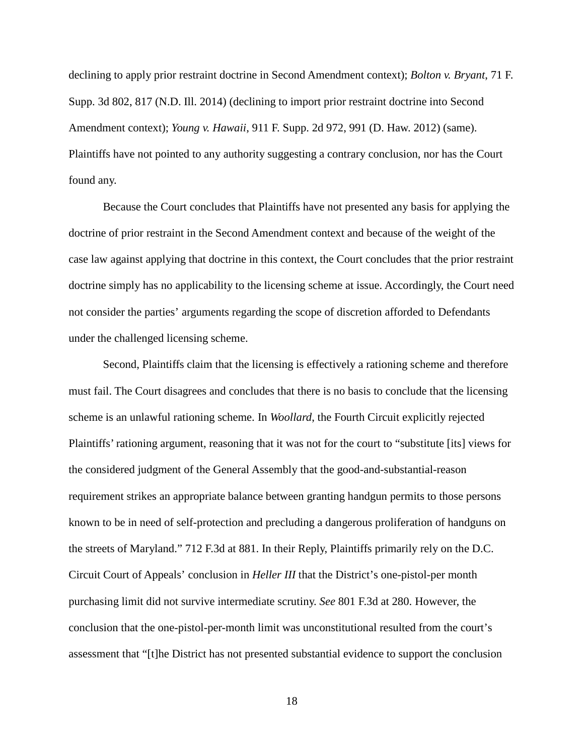declining to apply prior restraint doctrine in Second Amendment context); *Bolton v. Bryant*, 71 F. Supp. 3d 802, 817 (N.D. Ill. 2014) (declining to import prior restraint doctrine into Second Amendment context); *Young v. Hawaii*, 911 F. Supp. 2d 972, 991 (D. Haw. 2012) (same). Plaintiffs have not pointed to any authority suggesting a contrary conclusion, nor has the Court found any.

Because the Court concludes that Plaintiffs have not presented any basis for applying the doctrine of prior restraint in the Second Amendment context and because of the weight of the case law against applying that doctrine in this context, the Court concludes that the prior restraint doctrine simply has no applicability to the licensing scheme at issue. Accordingly, the Court need not consider the parties' arguments regarding the scope of discretion afforded to Defendants under the challenged licensing scheme.

Second, Plaintiffs claim that the licensing is effectively a rationing scheme and therefore must fail. The Court disagrees and concludes that there is no basis to conclude that the licensing scheme is an unlawful rationing scheme. In *Woollard*, the Fourth Circuit explicitly rejected Plaintiffs' rationing argument, reasoning that it was not for the court to "substitute [its] views for the considered judgment of the General Assembly that the good-and-substantial-reason requirement strikes an appropriate balance between granting handgun permits to those persons known to be in need of self-protection and precluding a dangerous proliferation of handguns on the streets of Maryland." 712 F.3d at 881. In their Reply, Plaintiffs primarily rely on the D.C. Circuit Court of Appeals' conclusion in *Heller III* that the District's one-pistol-per month purchasing limit did not survive intermediate scrutiny. *See* 801 F.3d at 280. However, the conclusion that the one-pistol-per-month limit was unconstitutional resulted from the court's assessment that "[t]he District has not presented substantial evidence to support the conclusion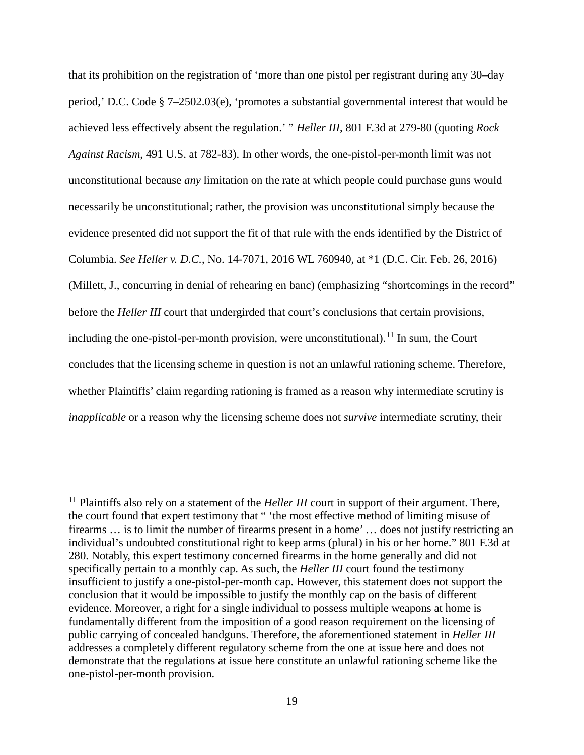that its prohibition on the registration of 'more than one pistol per registrant during any 30–day period,' D.C. Code § 7–2502.03(e), 'promotes a substantial governmental interest that would be achieved less effectively absent the regulation.' " *Heller III*, 801 F.3d at 279-80 (quoting *Rock Against Racism*, 491 U.S. at 782-83). In other words, the one-pistol-per-month limit was not unconstitutional because *any* limitation on the rate at which people could purchase guns would necessarily be unconstitutional; rather, the provision was unconstitutional simply because the evidence presented did not support the fit of that rule with the ends identified by the District of Columbia. *See Heller v. D.C.*, No. 14-7071, 2016 WL 760940, at \*1 (D.C. Cir. Feb. 26, 2016) (Millett, J., concurring in denial of rehearing en banc) (emphasizing "shortcomings in the record" before the *Heller III* court that undergirded that court's conclusions that certain provisions, including the one-pistol-per-month provision, were unconstitutional).<sup>11</sup> In sum, the Court concludes that the licensing scheme in question is not an unlawful rationing scheme. Therefore, whether Plaintiffs' claim regarding rationing is framed as a reason why intermediate scrutiny is *inapplicable* or a reason why the licensing scheme does not *survive* intermediate scrutiny, their

<sup>&</sup>lt;sup>11</sup> Plaintiffs also rely on a statement of the *Heller III* court in support of their argument. There, the court found that expert testimony that " 'the most effective method of limiting misuse of firearms … is to limit the number of firearms present in a home' … does not justify restricting an individual's undoubted constitutional right to keep arms (plural) in his or her home." 801 F.3d at 280. Notably, this expert testimony concerned firearms in the home generally and did not specifically pertain to a monthly cap. As such, the *Heller III* court found the testimony insufficient to justify a one-pistol-per-month cap. However, this statement does not support the conclusion that it would be impossible to justify the monthly cap on the basis of different evidence. Moreover, a right for a single individual to possess multiple weapons at home is fundamentally different from the imposition of a good reason requirement on the licensing of public carrying of concealed handguns. Therefore, the aforementioned statement in *Heller III* addresses a completely different regulatory scheme from the one at issue here and does not demonstrate that the regulations at issue here constitute an unlawful rationing scheme like the one-pistol-per-month provision.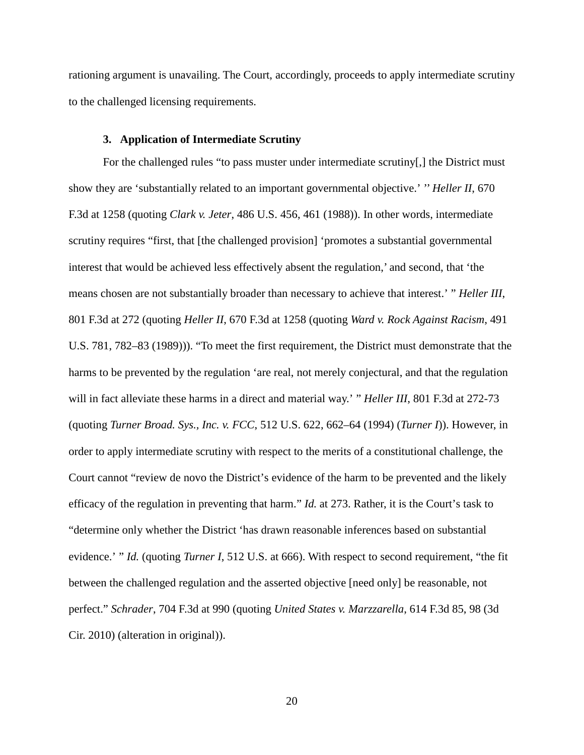rationing argument is unavailing. The Court, accordingly, proceeds to apply intermediate scrutiny to the challenged licensing requirements.

#### **3. Application of Intermediate Scrutiny**

For the challenged rules "to pass muster under intermediate scrutiny[,] the District must show they are 'substantially related to an important governmental objective.' '' *Heller II*, 670 F.3d at 1258 (quoting *Clark v. Jeter*, 486 U.S. 456, 461 (1988)). In other words, intermediate scrutiny requires "first, that [the challenged provision] 'promotes a substantial governmental interest that would be achieved less effectively absent the regulation,' and second, that 'the means chosen are not substantially broader than necessary to achieve that interest.' " *Heller III*, 801 F.3d at 272 (quoting *Heller II*, 670 F.3d at 1258 (quoting *Ward v. Rock Against Racism*, 491 U.S. 781, 782–83 (1989))). "To meet the first requirement, the District must demonstrate that the harms to be prevented by the regulation 'are real, not merely conjectural, and that the regulation will in fact alleviate these harms in a direct and material way.' " *Heller III*, 801 F.3d at 272-73 (quoting *Turner Broad. Sys., Inc. v. FCC*, 512 U.S. 622, 662–64 (1994) (*Turner I*)). However, in order to apply intermediate scrutiny with respect to the merits of a constitutional challenge, the Court cannot "review de novo the District's evidence of the harm to be prevented and the likely efficacy of the regulation in preventing that harm." *Id.* at 273. Rather, it is the Court's task to "determine only whether the District 'has drawn reasonable inferences based on substantial evidence.' " *Id.* (quoting *Turner I*, 512 U.S. at 666). With respect to second requirement, "the fit between the challenged regulation and the asserted objective [need only] be reasonable, not perfect." *Schrader*, 704 F.3d at 990 (quoting *United States v. Marzzarella*, 614 F.3d 85, 98 (3d Cir. 2010) (alteration in original)).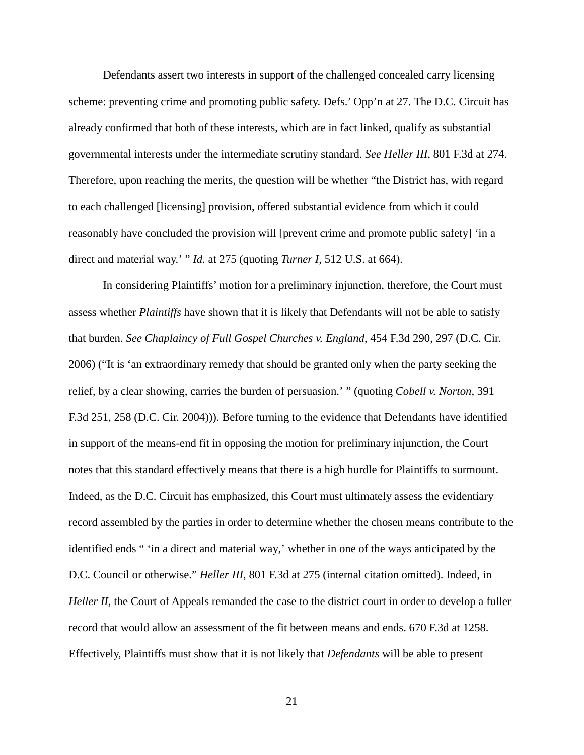Defendants assert two interests in support of the challenged concealed carry licensing scheme: preventing crime and promoting public safety. Defs.' Opp'n at 27. The D.C. Circuit has already confirmed that both of these interests, which are in fact linked, qualify as substantial governmental interests under the intermediate scrutiny standard. *See Heller III*, 801 F.3d at 274. Therefore, upon reaching the merits, the question will be whether "the District has, with regard to each challenged [licensing] provision, offered substantial evidence from which it could reasonably have concluded the provision will [prevent crime and promote public safety] 'in a direct and material way.' " *Id.* at 275 (quoting *Turner I*, 512 U.S. at 664).

In considering Plaintiffs' motion for a preliminary injunction, therefore, the Court must assess whether *Plaintiffs* have shown that it is likely that Defendants will not be able to satisfy that burden. *See Chaplaincy of Full Gospel Churches v. England*, 454 F.3d 290, 297 (D.C. Cir. 2006) ("It is 'an extraordinary remedy that should be granted only when the party seeking the relief, by a clear showing, carries the burden of persuasion.' " (quoting *Cobell v. Norton*, 391 F.3d 251, 258 (D.C. Cir. 2004))). Before turning to the evidence that Defendants have identified in support of the means-end fit in opposing the motion for preliminary injunction, the Court notes that this standard effectively means that there is a high hurdle for Plaintiffs to surmount. Indeed, as the D.C. Circuit has emphasized, this Court must ultimately assess the evidentiary record assembled by the parties in order to determine whether the chosen means contribute to the identified ends " 'in a direct and material way,' whether in one of the ways anticipated by the D.C. Council or otherwise." *Heller III*, 801 F.3d at 275 (internal citation omitted). Indeed, in *Heller II*, the Court of Appeals remanded the case to the district court in order to develop a fuller record that would allow an assessment of the fit between means and ends. 670 F.3d at 1258. Effectively, Plaintiffs must show that it is not likely that *Defendants* will be able to present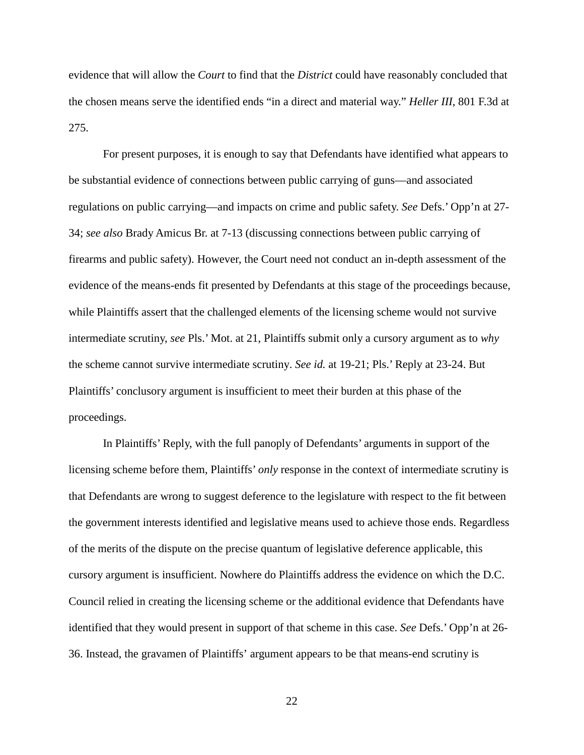evidence that will allow the *Court* to find that the *District* could have reasonably concluded that the chosen means serve the identified ends "in a direct and material way." *Heller III*, 801 F.3d at 275.

For present purposes, it is enough to say that Defendants have identified what appears to be substantial evidence of connections between public carrying of guns—and associated regulations on public carrying—and impacts on crime and public safety. *See* Defs.' Opp'n at 27- 34; *see also* Brady Amicus Br. at 7-13 (discussing connections between public carrying of firearms and public safety). However, the Court need not conduct an in-depth assessment of the evidence of the means-ends fit presented by Defendants at this stage of the proceedings because, while Plaintiffs assert that the challenged elements of the licensing scheme would not survive intermediate scrutiny, *see* Pls.' Mot. at 21, Plaintiffs submit only a cursory argument as to *why* the scheme cannot survive intermediate scrutiny. *See id.* at 19-21; Pls.' Reply at 23-24. But Plaintiffs' conclusory argument is insufficient to meet their burden at this phase of the proceedings.

In Plaintiffs' Reply, with the full panoply of Defendants' arguments in support of the licensing scheme before them, Plaintiffs' *only* response in the context of intermediate scrutiny is that Defendants are wrong to suggest deference to the legislature with respect to the fit between the government interests identified and legislative means used to achieve those ends. Regardless of the merits of the dispute on the precise quantum of legislative deference applicable, this cursory argument is insufficient. Nowhere do Plaintiffs address the evidence on which the D.C. Council relied in creating the licensing scheme or the additional evidence that Defendants have identified that they would present in support of that scheme in this case. *See* Defs.' Opp'n at 26- 36. Instead, the gravamen of Plaintiffs' argument appears to be that means-end scrutiny is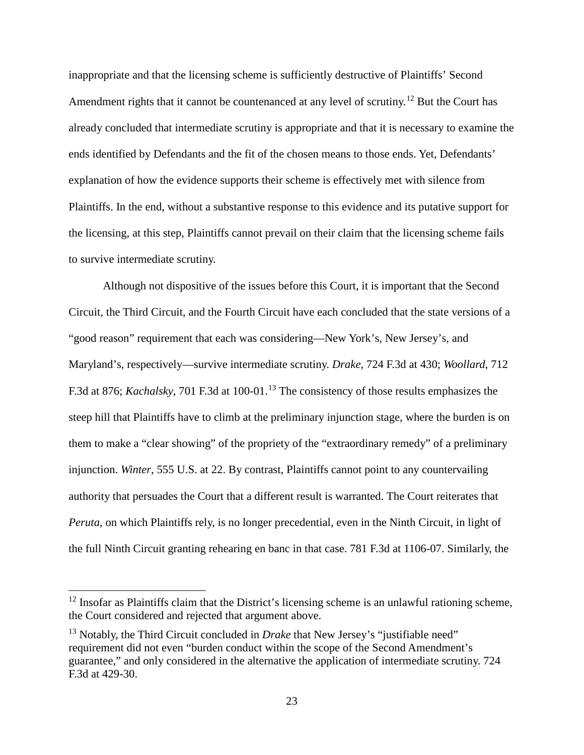inappropriate and that the licensing scheme is sufficiently destructive of Plaintiffs' Second Amendment rights that it cannot be countenanced at any level of scrutiny.<sup>12</sup> But the Court has already concluded that intermediate scrutiny is appropriate and that it is necessary to examine the ends identified by Defendants and the fit of the chosen means to those ends. Yet, Defendants' explanation of how the evidence supports their scheme is effectively met with silence from Plaintiffs. In the end, without a substantive response to this evidence and its putative support for the licensing, at this step, Plaintiffs cannot prevail on their claim that the licensing scheme fails to survive intermediate scrutiny.

Although not dispositive of the issues before this Court, it is important that the Second Circuit, the Third Circuit, and the Fourth Circuit have each concluded that the state versions of a "good reason" requirement that each was considering—New York's, New Jersey's, and Maryland's, respectively—survive intermediate scrutiny. *Drake*, 724 F.3d at 430; *Woollard*, 712 F.3d at 876; *Kachalsky*, 701 F.3d at 100-01.13 The consistency of those results emphasizes the steep hill that Plaintiffs have to climb at the preliminary injunction stage, where the burden is on them to make a "clear showing" of the propriety of the "extraordinary remedy" of a preliminary injunction. *Winter*, 555 U.S. at 22. By contrast, Plaintiffs cannot point to any countervailing authority that persuades the Court that a different result is warranted. The Court reiterates that *Peruta*, on which Plaintiffs rely, is no longer precedential, even in the Ninth Circuit, in light of the full Ninth Circuit granting rehearing en banc in that case. 781 F.3d at 1106-07. Similarly, the

 $12$  Insofar as Plaintiffs claim that the District's licensing scheme is an unlawful rationing scheme, the Court considered and rejected that argument above.

<sup>&</sup>lt;sup>13</sup> Notably, the Third Circuit concluded in *Drake* that New Jersey's "justifiable need" requirement did not even "burden conduct within the scope of the Second Amendment's guarantee," and only considered in the alternative the application of intermediate scrutiny. 724 F.3d at 429-30.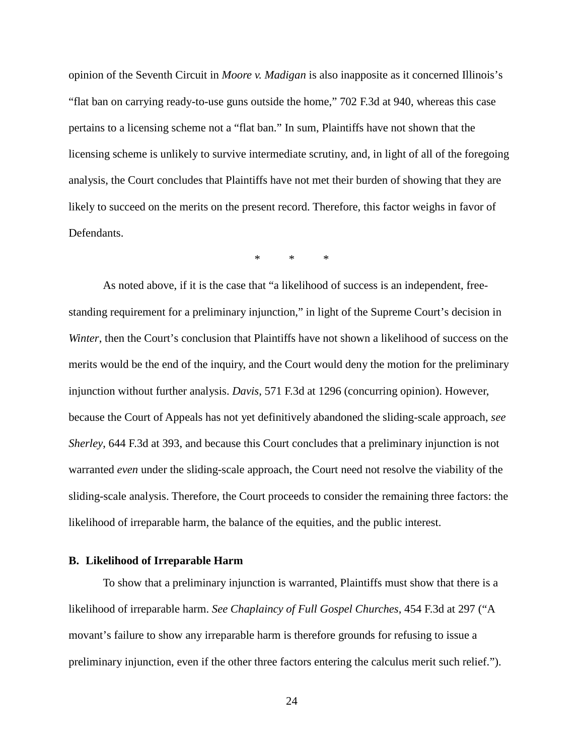opinion of the Seventh Circuit in *Moore v. Madigan* is also inapposite as it concerned Illinois's "flat ban on carrying ready-to-use guns outside the home," 702 F.3d at 940, whereas this case pertains to a licensing scheme not a "flat ban." In sum, Plaintiffs have not shown that the licensing scheme is unlikely to survive intermediate scrutiny, and, in light of all of the foregoing analysis, the Court concludes that Plaintiffs have not met their burden of showing that they are likely to succeed on the merits on the present record. Therefore, this factor weighs in favor of Defendants.

 $*$  \*

As noted above, if it is the case that "a likelihood of success is an independent, freestanding requirement for a preliminary injunction," in light of the Supreme Court's decision in *Winter*, then the Court's conclusion that Plaintiffs have not shown a likelihood of success on the merits would be the end of the inquiry, and the Court would deny the motion for the preliminary injunction without further analysis. *Davis*, 571 F.3d at 1296 (concurring opinion). However, because the Court of Appeals has not yet definitively abandoned the sliding-scale approach, *see Sherley*, 644 F.3d at 393, and because this Court concludes that a preliminary injunction is not warranted *even* under the sliding-scale approach, the Court need not resolve the viability of the sliding-scale analysis. Therefore, the Court proceeds to consider the remaining three factors: the likelihood of irreparable harm, the balance of the equities, and the public interest.

#### **B. Likelihood of Irreparable Harm**

To show that a preliminary injunction is warranted, Plaintiffs must show that there is a likelihood of irreparable harm. *See Chaplaincy of Full Gospel Churches*, 454 F.3d at 297 ("A movant's failure to show any irreparable harm is therefore grounds for refusing to issue a preliminary injunction, even if the other three factors entering the calculus merit such relief.").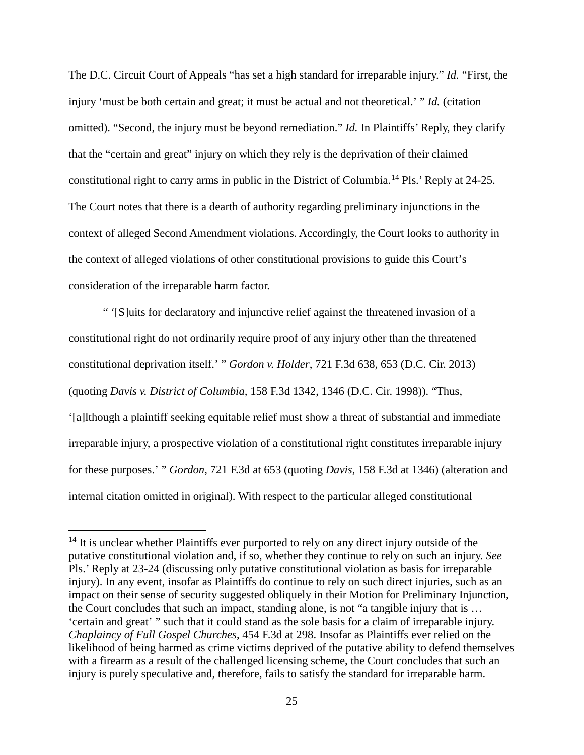The D.C. Circuit Court of Appeals "has set a high standard for irreparable injury." *Id.* "First, the injury 'must be both certain and great; it must be actual and not theoretical.' " *Id.* (citation omitted). "Second, the injury must be beyond remediation." *Id.* In Plaintiffs' Reply, they clarify that the "certain and great" injury on which they rely is the deprivation of their claimed constitutional right to carry arms in public in the District of Columbia.<sup>14</sup> Pls.' Reply at 24-25. The Court notes that there is a dearth of authority regarding preliminary injunctions in the context of alleged Second Amendment violations. Accordingly, the Court looks to authority in the context of alleged violations of other constitutional provisions to guide this Court's consideration of the irreparable harm factor.

" '[S]uits for declaratory and injunctive relief against the threatened invasion of a constitutional right do not ordinarily require proof of any injury other than the threatened constitutional deprivation itself.' " *Gordon v. Holder*, 721 F.3d 638, 653 (D.C. Cir. 2013) (quoting *Davis v. District of Columbia,* 158 F.3d 1342, 1346 (D.C. Cir. 1998)). "Thus, '[a]lthough a plaintiff seeking equitable relief must show a threat of substantial and immediate irreparable injury, a prospective violation of a constitutional right constitutes irreparable injury for these purposes.' " *Gordon*, 721 F.3d at 653 (quoting *Davis*, 158 F.3d at 1346) (alteration and internal citation omitted in original). With respect to the particular alleged constitutional

 $14$  It is unclear whether Plaintiffs ever purported to rely on any direct injury outside of the putative constitutional violation and, if so, whether they continue to rely on such an injury. *See* Pls.' Reply at 23-24 (discussing only putative constitutional violation as basis for irreparable injury). In any event, insofar as Plaintiffs do continue to rely on such direct injuries, such as an impact on their sense of security suggested obliquely in their Motion for Preliminary Injunction, the Court concludes that such an impact, standing alone, is not "a tangible injury that is … 'certain and great' " such that it could stand as the sole basis for a claim of irreparable injury. *Chaplaincy of Full Gospel Churches*, 454 F.3d at 298. Insofar as Plaintiffs ever relied on the likelihood of being harmed as crime victims deprived of the putative ability to defend themselves with a firearm as a result of the challenged licensing scheme, the Court concludes that such an injury is purely speculative and, therefore, fails to satisfy the standard for irreparable harm.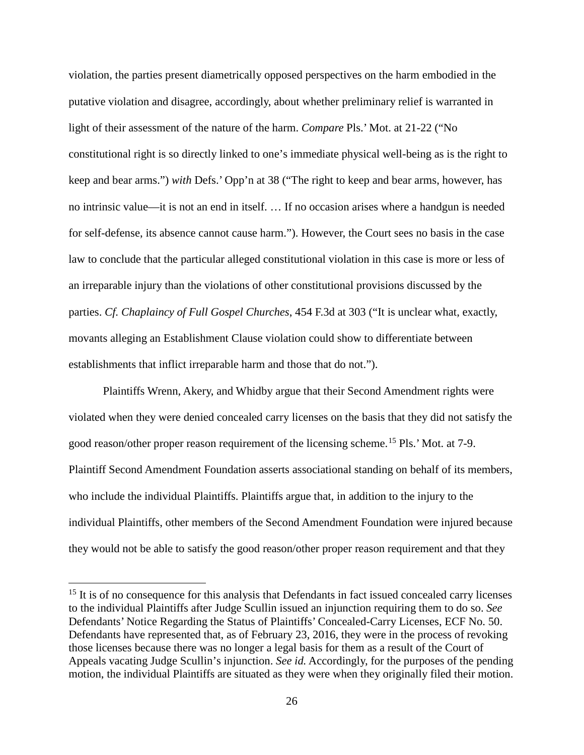violation, the parties present diametrically opposed perspectives on the harm embodied in the putative violation and disagree, accordingly, about whether preliminary relief is warranted in light of their assessment of the nature of the harm. *Compare* Pls.' Mot. at 21-22 ("No constitutional right is so directly linked to one's immediate physical well-being as is the right to keep and bear arms.") *with* Defs.' Opp'n at 38 ("The right to keep and bear arms, however, has no intrinsic value—it is not an end in itself. … If no occasion arises where a handgun is needed for self-defense, its absence cannot cause harm."). However, the Court sees no basis in the case law to conclude that the particular alleged constitutional violation in this case is more or less of an irreparable injury than the violations of other constitutional provisions discussed by the parties. *Cf. Chaplaincy of Full Gospel Churches*, 454 F.3d at 303 ("It is unclear what, exactly, movants alleging an Establishment Clause violation could show to differentiate between establishments that inflict irreparable harm and those that do not.").

Plaintiffs Wrenn, Akery, and Whidby argue that their Second Amendment rights were violated when they were denied concealed carry licenses on the basis that they did not satisfy the good reason/other proper reason requirement of the licensing scheme.<sup>15</sup> Pls.' Mot. at 7-9. Plaintiff Second Amendment Foundation asserts associational standing on behalf of its members, who include the individual Plaintiffs. Plaintiffs argue that, in addition to the injury to the individual Plaintiffs, other members of the Second Amendment Foundation were injured because they would not be able to satisfy the good reason/other proper reason requirement and that they

<sup>&</sup>lt;sup>15</sup> It is of no consequence for this analysis that Defendants in fact issued concealed carry licenses to the individual Plaintiffs after Judge Scullin issued an injunction requiring them to do so. *See* Defendants' Notice Regarding the Status of Plaintiffs' Concealed-Carry Licenses, ECF No. 50. Defendants have represented that, as of February 23, 2016, they were in the process of revoking those licenses because there was no longer a legal basis for them as a result of the Court of Appeals vacating Judge Scullin's injunction. *See id.* Accordingly, for the purposes of the pending motion, the individual Plaintiffs are situated as they were when they originally filed their motion.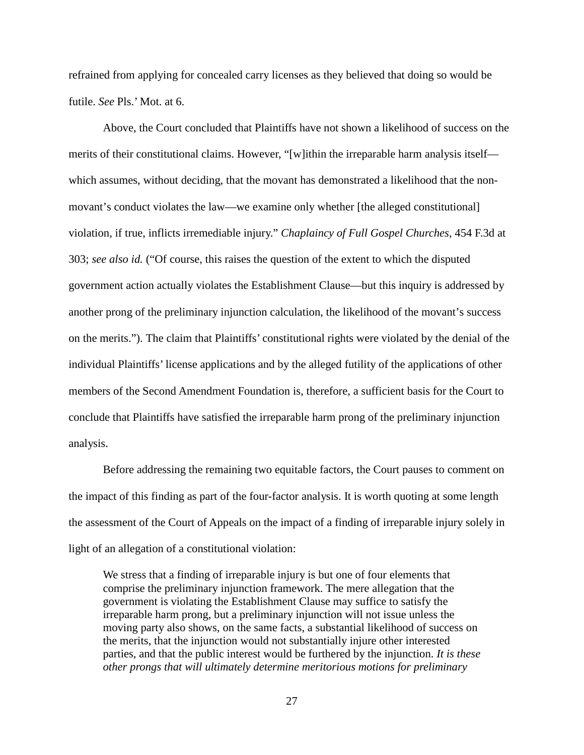refrained from applying for concealed carry licenses as they believed that doing so would be futile. *See* Pls.' Mot. at 6.

Above, the Court concluded that Plaintiffs have not shown a likelihood of success on the merits of their constitutional claims. However, "[w]ithin the irreparable harm analysis itself which assumes, without deciding, that the movant has demonstrated a likelihood that the nonmovant's conduct violates the law—we examine only whether [the alleged constitutional] violation, if true, inflicts irremediable injury." *Chaplaincy of Full Gospel Churches*, 454 F.3d at 303; *see also id.* ("Of course, this raises the question of the extent to which the disputed government action actually violates the Establishment Clause—but this inquiry is addressed by another prong of the preliminary injunction calculation, the likelihood of the movant's success on the merits."). The claim that Plaintiffs' constitutional rights were violated by the denial of the individual Plaintiffs' license applications and by the alleged futility of the applications of other members of the Second Amendment Foundation is, therefore, a sufficient basis for the Court to conclude that Plaintiffs have satisfied the irreparable harm prong of the preliminary injunction analysis.

Before addressing the remaining two equitable factors, the Court pauses to comment on the impact of this finding as part of the four-factor analysis. It is worth quoting at some length the assessment of the Court of Appeals on the impact of a finding of irreparable injury solely in light of an allegation of a constitutional violation:

We stress that a finding of irreparable injury is but one of four elements that comprise the preliminary injunction framework. The mere allegation that the government is violating the Establishment Clause may suffice to satisfy the irreparable harm prong, but a preliminary injunction will not issue unless the moving party also shows, on the same facts, a substantial likelihood of success on the merits, that the injunction would not substantially injure other interested parties, and that the public interest would be furthered by the injunction. *It is these other prongs that will ultimately determine meritorious motions for preliminary*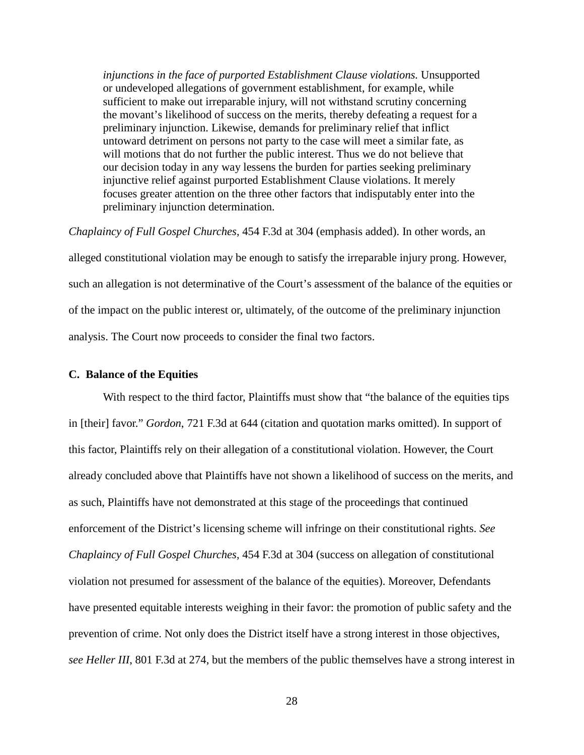*injunctions in the face of purported Establishment Clause violations.* Unsupported or undeveloped allegations of government establishment, for example, while sufficient to make out irreparable injury, will not withstand scrutiny concerning the movant's likelihood of success on the merits, thereby defeating a request for a preliminary injunction. Likewise, demands for preliminary relief that inflict untoward detriment on persons not party to the case will meet a similar fate, as will motions that do not further the public interest. Thus we do not believe that our decision today in any way lessens the burden for parties seeking preliminary injunctive relief against purported Establishment Clause violations. It merely focuses greater attention on the three other factors that indisputably enter into the preliminary injunction determination.

*Chaplaincy of Full Gospel Churches*, 454 F.3d at 304 (emphasis added). In other words, an alleged constitutional violation may be enough to satisfy the irreparable injury prong. However, such an allegation is not determinative of the Court's assessment of the balance of the equities or of the impact on the public interest or, ultimately, of the outcome of the preliminary injunction analysis. The Court now proceeds to consider the final two factors.

# **C. Balance of the Equities**

With respect to the third factor, Plaintiffs must show that "the balance of the equities tips in [their] favor." *Gordon*, 721 F.3d at 644 (citation and quotation marks omitted). In support of this factor, Plaintiffs rely on their allegation of a constitutional violation. However, the Court already concluded above that Plaintiffs have not shown a likelihood of success on the merits, and as such, Plaintiffs have not demonstrated at this stage of the proceedings that continued enforcement of the District's licensing scheme will infringe on their constitutional rights. *See Chaplaincy of Full Gospel Churches*, 454 F.3d at 304 (success on allegation of constitutional violation not presumed for assessment of the balance of the equities). Moreover, Defendants have presented equitable interests weighing in their favor: the promotion of public safety and the prevention of crime. Not only does the District itself have a strong interest in those objectives, *see Heller III*, 801 F.3d at 274, but the members of the public themselves have a strong interest in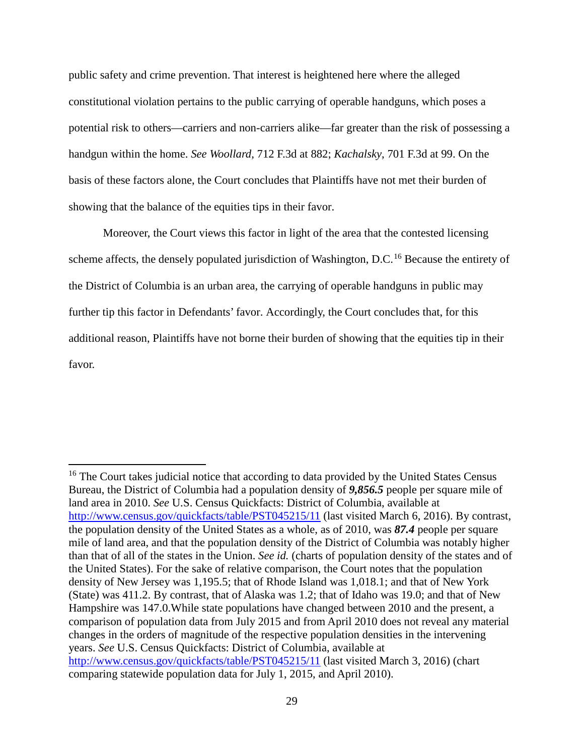public safety and crime prevention. That interest is heightened here where the alleged constitutional violation pertains to the public carrying of operable handguns, which poses a potential risk to others—carriers and non-carriers alike—far greater than the risk of possessing a handgun within the home. *See Woollard*, 712 F.3d at 882; *Kachalsky*, 701 F.3d at 99. On the basis of these factors alone, the Court concludes that Plaintiffs have not met their burden of showing that the balance of the equities tips in their favor.

Moreover, the Court views this factor in light of the area that the contested licensing scheme affects, the densely populated jurisdiction of Washington, D.C.<sup>16</sup> Because the entirety of the District of Columbia is an urban area, the carrying of operable handguns in public may further tip this factor in Defendants' favor. Accordingly, the Court concludes that, for this additional reason, Plaintiffs have not borne their burden of showing that the equities tip in their favor.

<sup>&</sup>lt;sup>16</sup> The Court takes judicial notice that according to data provided by the United States Census Bureau, the District of Columbia had a population density of *9,856.5* people per square mile of land area in 2010. *See* U.S. Census Quickfacts: District of Columbia, available at http://www.census.gov/quickfacts/table/PST045215/11 (last visited March 6, 2016). By contrast, the population density of the United States as a whole, as of 2010, was *87.4* people per square mile of land area, and that the population density of the District of Columbia was notably higher than that of all of the states in the Union. *See id.* (charts of population density of the states and of the United States). For the sake of relative comparison, the Court notes that the population density of New Jersey was 1,195.5; that of Rhode Island was 1,018.1; and that of New York (State) was 411.2. By contrast, that of Alaska was 1.2; that of Idaho was 19.0; and that of New Hampshire was 147.0.While state populations have changed between 2010 and the present, a comparison of population data from July 2015 and from April 2010 does not reveal any material changes in the orders of magnitude of the respective population densities in the intervening years. *See* U.S. Census Quickfacts: District of Columbia, available at http://www.census.gov/quickfacts/table/PST045215/11 (last visited March 3, 2016) (chart comparing statewide population data for July 1, 2015, and April 2010).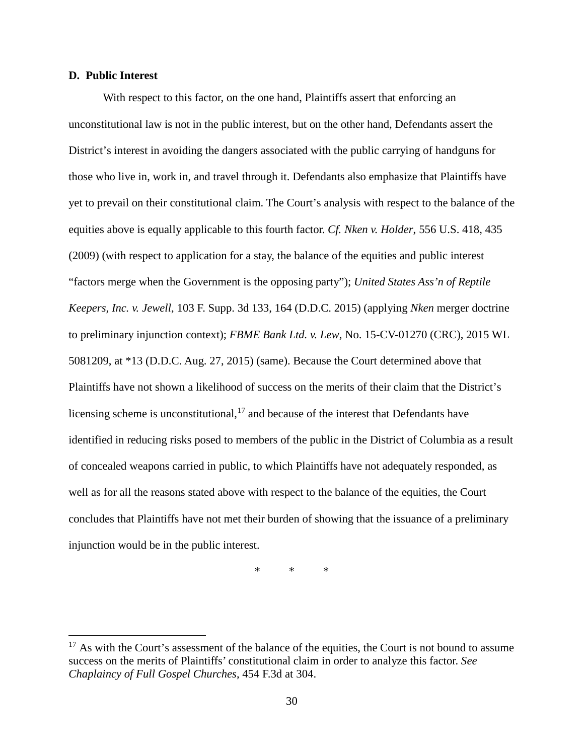## **D. Public Interest**

 $\overline{a}$ 

With respect to this factor, on the one hand, Plaintiffs assert that enforcing an unconstitutional law is not in the public interest, but on the other hand, Defendants assert the District's interest in avoiding the dangers associated with the public carrying of handguns for those who live in, work in, and travel through it. Defendants also emphasize that Plaintiffs have yet to prevail on their constitutional claim. The Court's analysis with respect to the balance of the equities above is equally applicable to this fourth factor. *Cf. Nken v. Holder*, 556 U.S. 418, 435 (2009) (with respect to application for a stay, the balance of the equities and public interest "factors merge when the Government is the opposing party"); *United States Ass'n of Reptile Keepers, Inc. v. Jewell*, 103 F. Supp. 3d 133, 164 (D.D.C. 2015) (applying *Nken* merger doctrine to preliminary injunction context); *FBME Bank Ltd. v. Lew*, No. 15-CV-01270 (CRC), 2015 WL 5081209, at \*13 (D.D.C. Aug. 27, 2015) (same). Because the Court determined above that Plaintiffs have not shown a likelihood of success on the merits of their claim that the District's licensing scheme is unconstitutional,  $17$  and because of the interest that Defendants have identified in reducing risks posed to members of the public in the District of Columbia as a result of concealed weapons carried in public, to which Plaintiffs have not adequately responded, as well as for all the reasons stated above with respect to the balance of the equities, the Court concludes that Plaintiffs have not met their burden of showing that the issuance of a preliminary injunction would be in the public interest.

\* \* \*

 $17$  As with the Court's assessment of the balance of the equities, the Court is not bound to assume success on the merits of Plaintiffs' constitutional claim in order to analyze this factor. *See Chaplaincy of Full Gospel Churches*, 454 F.3d at 304.